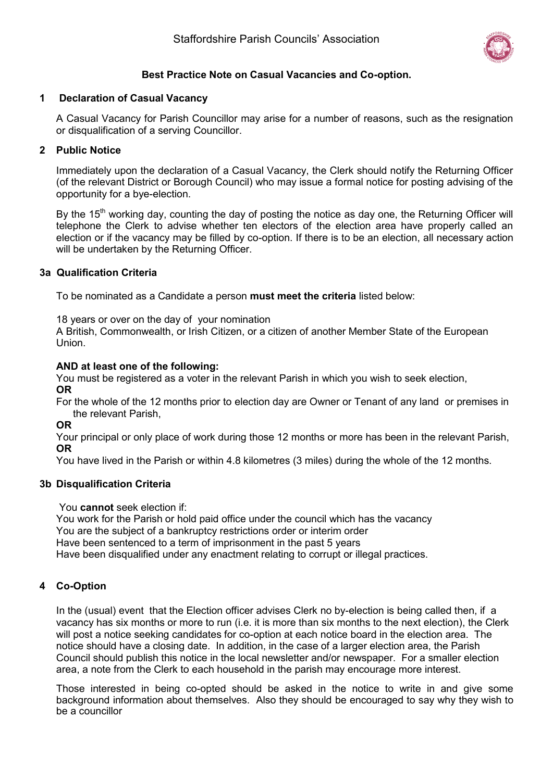

# **Best Practice Note on Casual Vacancies and Co-option.**

## **1 Declaration of Casual Vacancy**

A Casual Vacancy for Parish Councillor may arise for a number of reasons, such as the resignation or disqualification of a serving Councillor.

## **2 Public Notice**

Immediately upon the declaration of a Casual Vacancy, the Clerk should notify the Returning Officer (of the relevant District or Borough Council) who may issue a formal notice for posting advising of the opportunity for a bye-election.

By the  $15<sup>th</sup>$  working day, counting the day of posting the notice as day one, the Returning Officer will telephone the Clerk to advise whether ten electors of the election area have properly called an election or if the vacancy may be filled by co-option. If there is to be an election, all necessary action will be undertaken by the Returning Officer.

### **3a Qualification Criteria**

To be nominated as a Candidate a person **must meet the criteria** listed below:

18 years or over on the day of your nomination

A British, Commonwealth, or Irish Citizen, or a citizen of another Member State of the European Union.

## **AND at least one of the following:**

You must be registered as a voter in the relevant Parish in which you wish to seek election, **OR**

For the whole of the 12 months prior to election day are Owner or Tenant of any land or premises in the relevant Parish,

**OR**

Your principal or only place of work during those 12 months or more has been in the relevant Parish, **OR**

You have lived in the Parish or within 4.8 kilometres (3 miles) during the whole of the 12 months.

### **3b Disqualification Criteria**

You **cannot** seek election if:

You work for the Parish or hold paid office under the council which has the vacancy

You are the subject of a bankruptcy restrictions order or interim order

Have been sentenced to a term of imprisonment in the past 5 years

Have been disqualified under any enactment relating to corrupt or illegal practices.

# **4 Co-Option**

In the (usual) event that the Election officer advises Clerk no by-election is being called then, if a vacancy has six months or more to run (i.e. it is more than six months to the next election), the Clerk will post a notice seeking candidates for co-option at each notice board in the election area. The notice should have a closing date. In addition, in the case of a larger election area, the Parish Council should publish this notice in the local newsletter and/or newspaper. For a smaller election area, a note from the Clerk to each household in the parish may encourage more interest.

Those interested in being co-opted should be asked in the notice to write in and give some background information about themselves. Also they should be encouraged to say why they wish to be a councillor